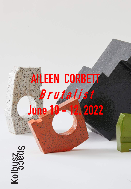## **AILEEN CORBETT B r u t a l is t June 10 -12, 2022**

Space<br>Rolphass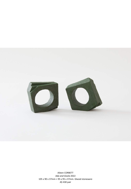

Aileen CORBETT *Ada and Gisela* 2022 105 x 90 x 37mm + 95 x 95 x 37mm. Glazed stoneware A\$ 430 pair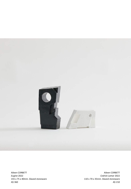

Aileen CORBETT *Eugine* 2022 155 x 75 x 40mm. Glazed stoneware A\$ 360

Aileen CORBETT *Cedrick Lamar* 2022 110 x 70 x 35mm. Glazed stoneware A\$ 210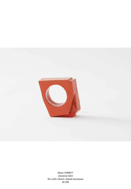

Aileen CORBETT *Clemente* 2022 95 x 105 x 35mm. Glazed stoneware A\$ 290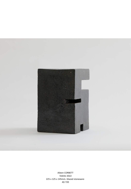

Aileen CORBETT *Tektite* 2022 225 x 125 x 145mm. Glazed stoneware A\$ 720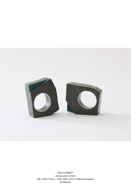

Aileen CORBETT *Conroy and Liz* 2022 105 x 100 x 37mm + 120 x 100 x 37mm. Glazed stoneware A\$ 460 pair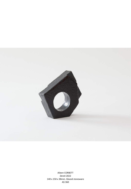

Aileen CORBETT *Derek* 2022 140 x 150 x 38mm. Glazed stoneware A\$ 360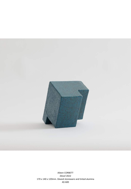

Aileen CORBETT *Diesel* 2022 170 x 140 x 120mm. Glazed stoneware and tinted alumina A\$ 600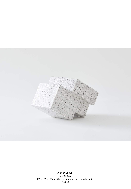![](_page_8_Picture_0.jpeg)

Aileen CORBETT *Diorite* 2022 155 x 155 x 195mm. Glazed stoneware and tinted alumina A\$ 650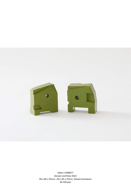![](_page_9_Picture_0.jpeg)

Aileen CORBETT *Giovani and Rosa* 2022 90 x 80 x 35mm + 85 x 85 x 35mm. Glazed stoneware A\$ 420 pair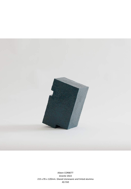![](_page_10_Picture_0.jpeg)

Aileen CORBETT *Granite* 2022 215 x 95 x 120mm. Glazed stoneware and tinted alumina A\$ 550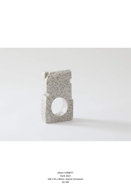![](_page_11_Picture_0.jpeg)

Aileen CORBETT *Hank* 2022 160 x 95 x 38mm. Glazed stoneware A\$ 340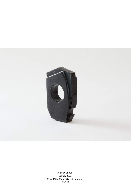![](_page_12_Picture_0.jpeg)

Aileen CORBETT *Henley* 2022 175 x 110 x 35mm. Glazed stoneware A\$ 390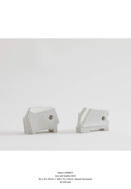![](_page_13_Picture_0.jpeg)

Aileen CORBETT *Ines and Sophia* 2022 95 x 70 x 35mm + 100 x 75 x 35mm. Glazed stoneware A\$ 420 pair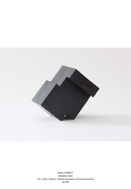![](_page_14_Picture_0.jpeg)

Aileen CORBETT *Obsidian* 2022 175 x 160 x 225mm. Glazed stoneware and tinted alumina A\$ 690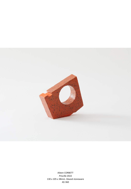![](_page_15_Picture_0.jpeg)

Aileen CORBETT *Priscilla* 2022 130 x 105 x 38mm. Glazed stoneware A\$ 360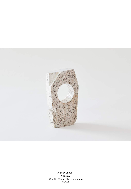![](_page_16_Picture_0.jpeg)

Aileen CORBETT *Yves* 2022 170 x 95 x 35mm. Glazed stoneware A\$ 340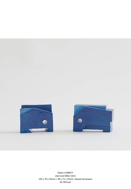![](_page_17_Picture_0.jpeg)

Aileen CORBETT *Zack and Miller* 2022 105 x 70 x 35mm + 90 x 75 x 35mm. Glazed stoneware A\$ 390 pair